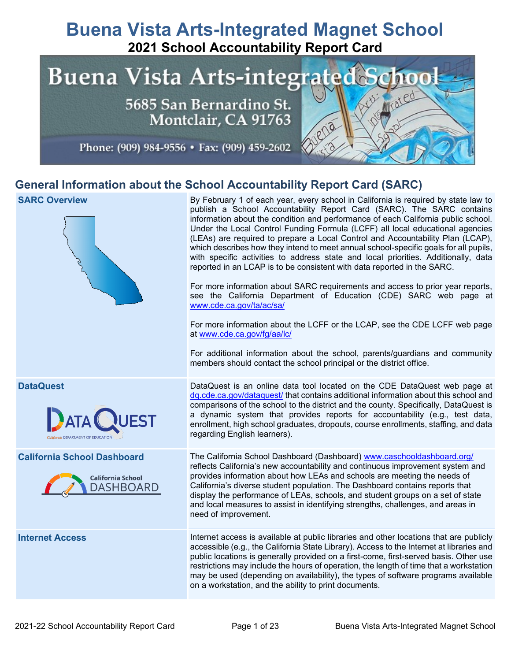# **Buena Vista Arts-Integrated Magnet School 2021 School Accountability Report Card**



## **General Information about the School Accountability Report Card (SARC)**

#### **SARC Overview** By February 1 of each year, every school in California is required by state law to publish a School Accountability Report Card (SARC). The SARC contains information about the condition and performance of each California public school. Under the Local Control Funding Formula (LCFF) all local educational agencies (LEAs) are required to prepare a Local Control and Accountability Plan (LCAP), which describes how they intend to meet annual school-specific goals for all pupils, with specific activities to address state and local priorities. Additionally, data reported in an LCAP is to be consistent with data reported in the SARC. For more information about SARC requirements and access to prior year reports, see the California Department of Education (CDE) SARC web page at [www.cde.ca.gov/ta/ac/sa/](https://www.cde.ca.gov/ta/ac/sa/) For more information about the LCFF or the LCAP, see the CDE LCFF web page at [www.cde.ca.gov/fg/aa/lc/](https://www.cde.ca.gov/fg/aa/lc/) For additional information about the school, parents/guardians and community members should contact the school principal or the district office. **DataQuest** DataQuest is an online data tool located on the CDE DataQuest web page at [dq.cde.ca.gov/dataquest/](https://dq.cde.ca.gov/dataquest/) that contains additional information about this school and comparisons of the school to the district and the county. Specifically, DataQuest is a dynamic system that provides reports for accountability (e.g., test data, enrollment, high school graduates, dropouts, course enrollments, staffing, and data regarding English learners). **California School Dashboard** The California School Dashboard (Dashboard) [www.caschooldashboard.org/](http://www.caschooldashboard.org/) reflects California's new accountability and continuous improvement system and provides information about how LEAs and schools are meeting the needs of **California School** California's diverse student population. The Dashboard contains reports that **DASHBOARD** display the performance of LEAs, schools, and student groups on a set of state and local measures to assist in identifying strengths, challenges, and areas in need of improvement. **Internet Access** Internet access is available at public libraries and other locations that are publicly accessible (e.g., the California State Library). Access to the Internet at libraries and public locations is generally provided on a first-come, first-served basis. Other use restrictions may include the hours of operation, the length of time that a workstation may be used (depending on availability), the types of software programs available on a workstation, and the ability to print documents.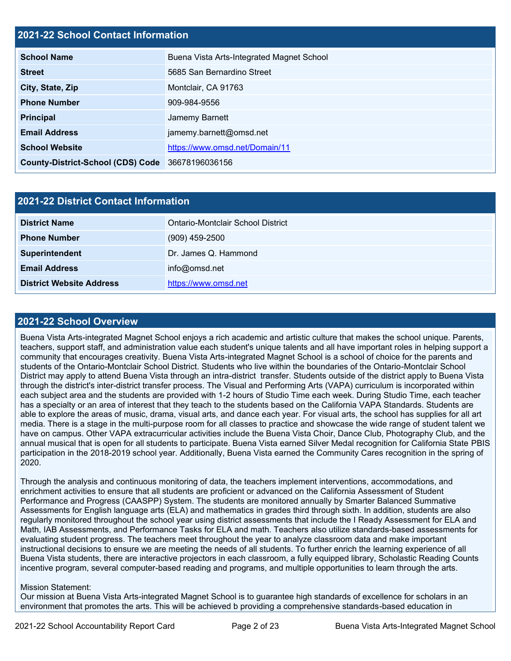#### **2021-22 School Contact Information**

| <b>School Name</b>                               | Buena Vista Arts-Integrated Magnet School |
|--------------------------------------------------|-------------------------------------------|
| <b>Street</b>                                    | 5685 San Bernardino Street                |
| City, State, Zip                                 | Montclair, CA 91763                       |
| <b>Phone Number</b>                              | 909-984-9556                              |
| <b>Principal</b>                                 | Jamemy Barnett                            |
| <b>Email Address</b>                             | jamemy.barnett@omsd.net                   |
| <b>School Website</b>                            | https://www.omsd.net/Domain/11            |
| County-District-School (CDS) Code 36678196036156 |                                           |

| <b>2021-22 District Contact Information</b> |                                          |  |  |
|---------------------------------------------|------------------------------------------|--|--|
| <b>District Name</b>                        | <b>Ontario-Montclair School District</b> |  |  |
| <b>Phone Number</b>                         | $(909)$ 459-2500                         |  |  |
| Superintendent                              | Dr. James Q. Hammond                     |  |  |
| <b>Email Address</b>                        | info@omsd.net                            |  |  |
| <b>District Website Address</b>             | https://www.omsd.net                     |  |  |

#### **2021-22 School Overview**

Buena Vista Arts-integrated Magnet School enjoys a rich academic and artistic culture that makes the school unique. Parents, teachers, support staff, and administration value each student's unique talents and all have important roles in helping support a community that encourages creativity. Buena Vista Arts-integrated Magnet School is a school of choice for the parents and students of the Ontario-Montclair School District. Students who live within the boundaries of the Ontario-Montclair School District may apply to attend Buena Vista through an intra-district transfer. Students outside of the district apply to Buena Vista through the district's inter-district transfer process. The Visual and Performing Arts (VAPA) curriculum is incorporated within each subject area and the students are provided with 1-2 hours of Studio Time each week. During Studio Time, each teacher has a specialty or an area of interest that they teach to the students based on the California VAPA Standards. Students are able to explore the areas of music, drama, visual arts, and dance each year. For visual arts, the school has supplies for all art media. There is a stage in the multi-purpose room for all classes to practice and showcase the wide range of student talent we have on campus. Other VAPA extracurricular activities include the Buena Vista Choir, Dance Club, Photography Club, and the annual musical that is open for all students to participate. Buena Vista earned Silver Medal recognition for California State PBIS participation in the 2018-2019 school year. Additionally, Buena Vista earned the Community Cares recognition in the spring of 2020.

Through the analysis and continuous monitoring of data, the teachers implement interventions, accommodations, and enrichment activities to ensure that all students are proficient or advanced on the California Assessment of Student Performance and Progress (CAASPP) System. The students are monitored annually by Smarter Balanced Summative Assessments for English language arts (ELA) and mathematics in grades third through sixth. In addition, students are also regularly monitored throughout the school year using district assessments that include the I Ready Assessment for ELA and Math, IAB Assessments, and Performance Tasks for ELA and math. Teachers also utilize standards-based assessments for evaluating student progress. The teachers meet throughout the year to analyze classroom data and make important instructional decisions to ensure we are meeting the needs of all students. To further enrich the learning experience of all Buena Vista students, there are interactive projectors in each classroom, a fully equipped library, Scholastic Reading Counts incentive program, several computer-based reading and programs, and multiple opportunities to learn through the arts.

#### Mission Statement:

Our mission at Buena Vista Arts-integrated Magnet School is to guarantee high standards of excellence for scholars in an environment that promotes the arts. This will be achieved b providing a comprehensive standards-based education in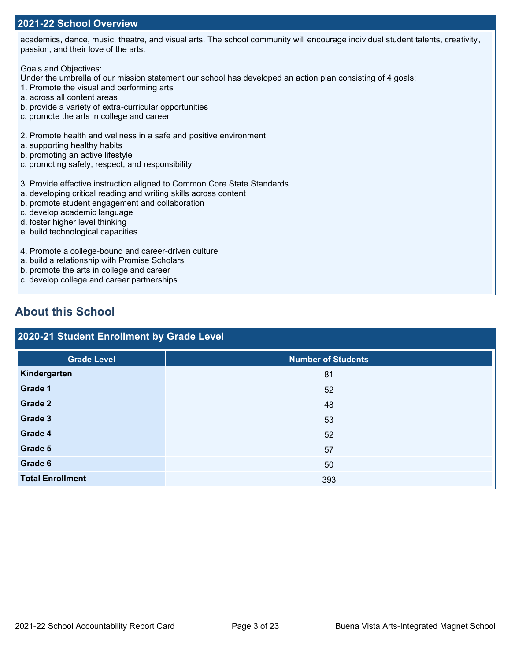#### **2021-22 School Overview**

academics, dance, music, theatre, and visual arts. The school community will encourage individual student talents, creativity, passion, and their love of the arts.

Goals and Objectives:

Under the umbrella of our mission statement our school has developed an action plan consisting of 4 goals:

- 1. Promote the visual and performing arts
- a. across all content areas
- b. provide a variety of extra-curricular opportunities
- c. promote the arts in college and career
- 2. Promote health and wellness in a safe and positive environment
- a. supporting healthy habits
- b. promoting an active lifestyle
- c. promoting safety, respect, and responsibility
- 3. Provide effective instruction aligned to Common Core State Standards
- a. developing critical reading and writing skills across content
- b. promote student engagement and collaboration
- c. develop academic language
- d. foster higher level thinking
- e. build technological capacities
- 4. Promote a college-bound and career-driven culture
- a. build a relationship with Promise Scholars
- b. promote the arts in college and career
- c. develop college and career partnerships

## **About this School**

## **2020-21 Student Enrollment by Grade Level**

| <b>Grade Level</b>      | <b>Number of Students</b> |
|-------------------------|---------------------------|
| Kindergarten            | 81                        |
| Grade 1                 | 52                        |
| Grade 2                 | 48                        |
| Grade 3                 | 53                        |
| Grade 4                 | 52                        |
| Grade 5                 | 57                        |
| Grade 6                 | 50                        |
| <b>Total Enrollment</b> | 393                       |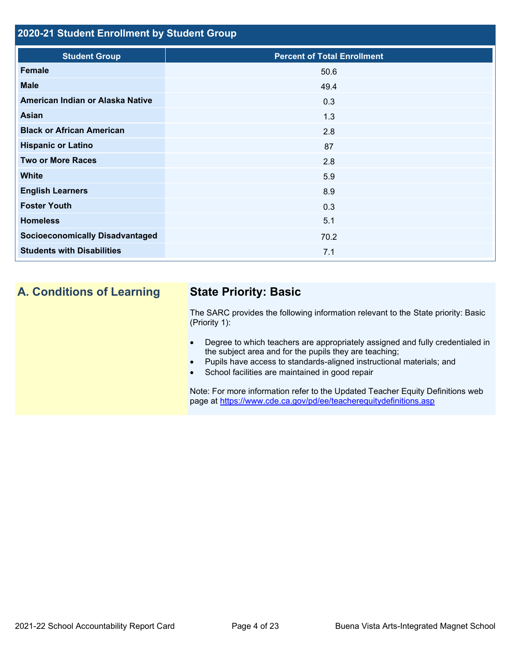#### **2020-21 Student Enrollment by Student Group**

| <b>Student Group</b>                   | <b>Percent of Total Enrollment</b> |
|----------------------------------------|------------------------------------|
| Female                                 | 50.6                               |
| <b>Male</b>                            | 49.4                               |
| American Indian or Alaska Native       | 0.3                                |
| Asian                                  | 1.3                                |
| <b>Black or African American</b>       | 2.8                                |
| <b>Hispanic or Latino</b>              | 87                                 |
| <b>Two or More Races</b>               | 2.8                                |
| <b>White</b>                           | 5.9                                |
| <b>English Learners</b>                | 8.9                                |
| <b>Foster Youth</b>                    | 0.3                                |
| <b>Homeless</b>                        | 5.1                                |
| <b>Socioeconomically Disadvantaged</b> | 70.2                               |
| <b>Students with Disabilities</b>      | 7.1                                |
|                                        |                                    |

## **A. Conditions of Learning State Priority: Basic**

The SARC provides the following information relevant to the State priority: Basic (Priority 1):

- Degree to which teachers are appropriately assigned and fully credentialed in the subject area and for the pupils they are teaching;
- Pupils have access to standards-aligned instructional materials; and
- School facilities are maintained in good repair

Note: For more information refer to the Updated Teacher Equity Definitions web page at<https://www.cde.ca.gov/pd/ee/teacherequitydefinitions.asp>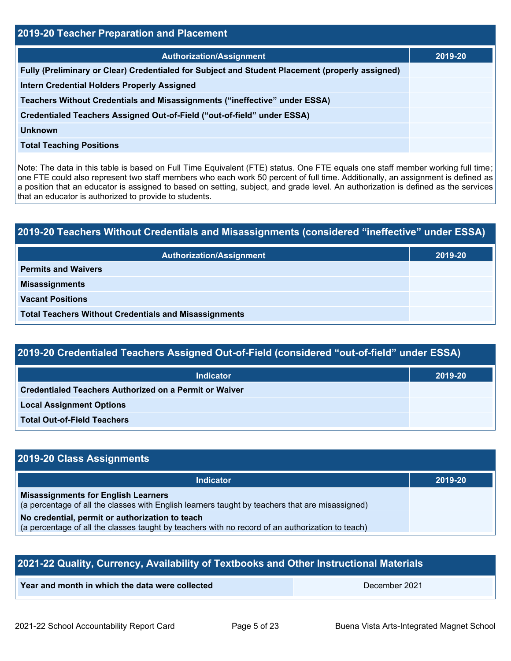| 2019-20 Teacher Preparation and Placement                                                       |         |  |  |  |
|-------------------------------------------------------------------------------------------------|---------|--|--|--|
| <b>Authorization/Assignment</b>                                                                 | 2019-20 |  |  |  |
| Fully (Preliminary or Clear) Credentialed for Subject and Student Placement (properly assigned) |         |  |  |  |
| <b>Intern Credential Holders Properly Assigned</b>                                              |         |  |  |  |
| Teachers Without Credentials and Misassignments ("ineffective" under ESSA)                      |         |  |  |  |
| Credentialed Teachers Assigned Out-of-Field ("out-of-field" under ESSA)                         |         |  |  |  |
| <b>Unknown</b>                                                                                  |         |  |  |  |
| <b>Total Teaching Positions</b>                                                                 |         |  |  |  |
|                                                                                                 |         |  |  |  |

Note: The data in this table is based on Full Time Equivalent (FTE) status. One FTE equals one staff member working full time; one FTE could also represent two staff members who each work 50 percent of full time. Additionally, an assignment is defined as a position that an educator is assigned to based on setting, subject, and grade level. An authorization is defined as the services that an educator is authorized to provide to students.

# **2019-20 Teachers Without Credentials and Misassignments (considered "ineffective" under ESSA) Authorization/Assignment 2019-20 Permits and Waivers Misassignments Vacant Positions Total Teachers Without Credentials and Misassignments**

## **2019-20 Credentialed Teachers Assigned Out-of-Field (considered "out-of-field" under ESSA)**

| <b>Indicator</b>                                       | 2019-20 |
|--------------------------------------------------------|---------|
| Credentialed Teachers Authorized on a Permit or Waiver |         |
| <b>Local Assignment Options</b>                        |         |
| <b>Total Out-of-Field Teachers</b>                     |         |

### **2019-20 Class Assignments**

| <b>Indicator</b>                                                                                                                                    | 2019-20 |
|-----------------------------------------------------------------------------------------------------------------------------------------------------|---------|
| <b>Misassignments for English Learners</b><br>(a percentage of all the classes with English learners taught by teachers that are misassigned)       |         |
| No credential, permit or authorization to teach<br>(a percentage of all the classes taught by teachers with no record of an authorization to teach) |         |

| 2021-22 Quality, Currency, Availability of Textbooks and Other Instructional Materials |  |  |  |  |
|----------------------------------------------------------------------------------------|--|--|--|--|
| Year and month in which the data were collected<br>December 2021                       |  |  |  |  |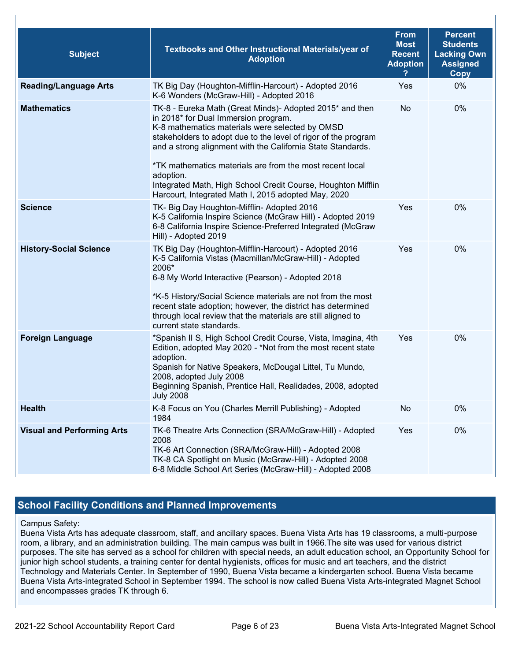| <b>Subject</b>                    | Textbooks and Other Instructional Materials/year of<br><b>Adoption</b>                                                                                                                                                                                                                                                                                                                                                                                                               | <b>From</b><br><b>Most</b><br><b>Recent</b><br><b>Adoption</b> | <b>Percent</b><br><b>Students</b><br><b>Lacking Own</b><br><b>Assigned</b><br>Copy |
|-----------------------------------|--------------------------------------------------------------------------------------------------------------------------------------------------------------------------------------------------------------------------------------------------------------------------------------------------------------------------------------------------------------------------------------------------------------------------------------------------------------------------------------|----------------------------------------------------------------|------------------------------------------------------------------------------------|
| <b>Reading/Language Arts</b>      | TK Big Day (Houghton-Mifflin-Harcourt) - Adopted 2016<br>K-6 Wonders (McGraw-Hill) - Adopted 2016                                                                                                                                                                                                                                                                                                                                                                                    | Yes                                                            | 0%                                                                                 |
| <b>Mathematics</b>                | TK-8 - Eureka Math (Great Minds)- Adopted 2015* and then<br>in 2018* for Dual Immersion program.<br>K-8 mathematics materials were selected by OMSD<br>stakeholders to adopt due to the level of rigor of the program<br>and a strong alignment with the California State Standards.<br>*TK mathematics materials are from the most recent local<br>adoption.<br>Integrated Math, High School Credit Course, Houghton Mifflin<br>Harcourt, Integrated Math I, 2015 adopted May, 2020 | No                                                             | 0%                                                                                 |
| <b>Science</b>                    | TK- Big Day Houghton-Mifflin- Adopted 2016<br>K-5 California Inspire Science (McGraw Hill) - Adopted 2019<br>6-8 California Inspire Science-Preferred Integrated (McGraw<br>Hill) - Adopted 2019                                                                                                                                                                                                                                                                                     | Yes                                                            | 0%                                                                                 |
| <b>History-Social Science</b>     | TK Big Day (Houghton-Mifflin-Harcourt) - Adopted 2016<br>K-5 California Vistas (Macmillan/McGraw-Hill) - Adopted<br>2006*<br>6-8 My World Interactive (Pearson) - Adopted 2018<br>*K-5 History/Social Science materials are not from the most<br>recent state adoption; however, the district has determined<br>through local review that the materials are still aligned to<br>current state standards.                                                                             | Yes                                                            | 0%                                                                                 |
| <b>Foreign Language</b>           | *Spanish II S, High School Credit Course, Vista, Imagina, 4th<br>Edition, adopted May 2020 - *Not from the most recent state<br>adoption.<br>Spanish for Native Speakers, McDougal Littel, Tu Mundo,<br>2008, adopted July 2008<br>Beginning Spanish, Prentice Hall, Realidades, 2008, adopted<br><b>July 2008</b>                                                                                                                                                                   | Yes                                                            | 0%                                                                                 |
| <b>Health</b>                     | K-8 Focus on You (Charles Merrill Publishing) - Adopted<br>1984                                                                                                                                                                                                                                                                                                                                                                                                                      | No                                                             | 0%                                                                                 |
| <b>Visual and Performing Arts</b> | TK-6 Theatre Arts Connection (SRA/McGraw-Hill) - Adopted<br>2008<br>TK-6 Art Connection (SRA/McGraw-Hill) - Adopted 2008<br>TK-8 CA Spotlight on Music (McGraw-Hill) - Adopted 2008<br>6-8 Middle School Art Series (McGraw-Hill) - Adopted 2008                                                                                                                                                                                                                                     | Yes                                                            | 0%                                                                                 |

#### **School Facility Conditions and Planned Improvements**

#### Campus Safety:

Buena Vista Arts has adequate classroom, staff, and ancillary spaces. Buena Vista Arts has 19 classrooms, a multi-purpose room, a library, and an administration building. The main campus was built in 1966.The site was used for various district purposes. The site has served as a school for children with special needs, an adult education school, an Opportunity School for junior high school students, a training center for dental hygienists, offices for music and art teachers, and the district Technology and Materials Center. In September of 1990, Buena Vista became a kindergarten school. Buena Vista became Buena Vista Arts-integrated School in September 1994. The school is now called Buena Vista Arts-integrated Magnet School and encompasses grades TK through 6.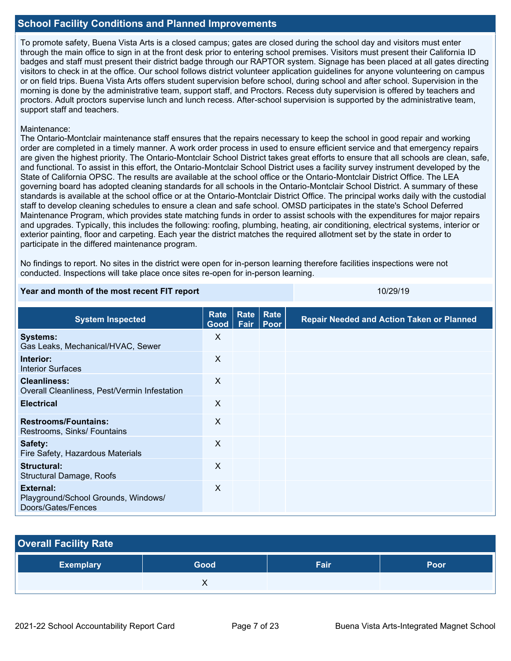#### **School Facility Conditions and Planned Improvements**

To promote safety, Buena Vista Arts is a closed campus; gates are closed during the school day and visitors must enter through the main office to sign in at the front desk prior to entering school premises. Visitors must present their California ID badges and staff must present their district badge through our RAPTOR system. Signage has been placed at all gates directing visitors to check in at the office. Our school follows district volunteer application guidelines for anyone volunteering on campus or on field trips. Buena Vista Arts offers student supervision before school, during school and after school. Supervision in the morning is done by the administrative team, support staff, and Proctors. Recess duty supervision is offered by teachers and proctors. Adult proctors supervise lunch and lunch recess. After-school supervision is supported by the administrative team, support staff and teachers.

#### Maintenance:

The Ontario-Montclair maintenance staff ensures that the repairs necessary to keep the school in good repair and working order are completed in a timely manner. A work order process in used to ensure efficient service and that emergency repairs are given the highest priority. The Ontario-Montclair School District takes great efforts to ensure that all schools are clean, safe, and functional. To assist in this effort, the Ontario-Montclair School District uses a facility survey instrument developed by the State of California OPSC. The results are available at the school office or the Ontario-Montclair District Office. The LEA governing board has adopted cleaning standards for all schools in the Ontario-Montclair School District. A summary of these standards is available at the school office or at the Ontario-Montclair District Office. The principal works daily with the custodial staff to develop cleaning schedules to ensure a clean and safe school. OMSD participates in the state's School Deferred Maintenance Program, which provides state matching funds in order to assist schools with the expenditures for major repairs and upgrades. Typically, this includes the following: roofing, plumbing, heating, air conditioning, electrical systems, interior or exterior painting, floor and carpeting. Each year the district matches the required allotment set by the state in order to participate in the differed maintenance program.

No findings to report. No sites in the district were open for in-person learning therefore facilities inspections were not conducted. Inspections will take place once sites re-open for in-person learning.

#### **Year and month of the most recent FIT report** 10/29/19 and 10/29/19

**System Inspected Rate Good Rate Fair Rate Poor Repair Needed and Action Taken or Planned Systems:** Gas Leaks, Mechanical/HVAC, Sewer X **Interior:** Interior Surfaces X **Cleanliness:** Overall Cleanliness, Pest/Vermin Infestation X **Electrical** X **Restrooms/Fountains:** Restrooms, Sinks/ Fountains X **Safety:** Fire Safety, Hazardous Materials X **Structural:** Structural Damage, Roofs X **External:** Playground/School Grounds, Windows/ Doors/Gates/Fences X

| <b>Overall Facility Rate</b> |      |      |      |
|------------------------------|------|------|------|
| <b>Exemplary</b>             | Good | Fair | Poor |
|                              |      |      |      |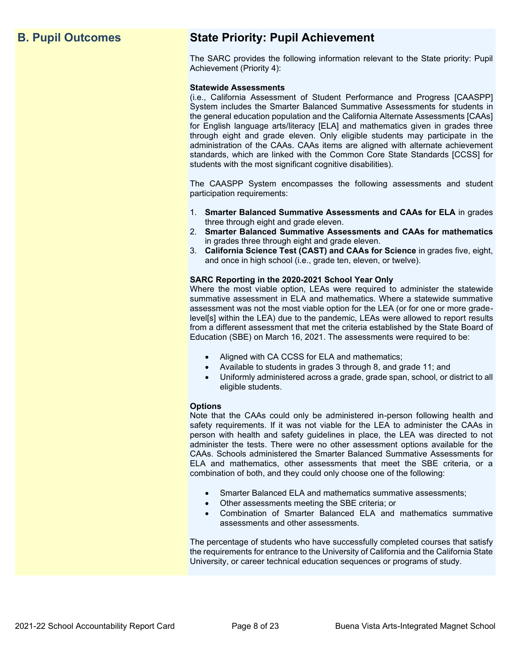## **B. Pupil Outcomes State Priority: Pupil Achievement**

The SARC provides the following information relevant to the State priority: Pupil Achievement (Priority 4):

#### **Statewide Assessments**

(i.e., California Assessment of Student Performance and Progress [CAASPP] System includes the Smarter Balanced Summative Assessments for students in the general education population and the California Alternate Assessments [CAAs] for English language arts/literacy [ELA] and mathematics given in grades three through eight and grade eleven. Only eligible students may participate in the administration of the CAAs. CAAs items are aligned with alternate achievement standards, which are linked with the Common Core State Standards [CCSS] for students with the most significant cognitive disabilities).

The CAASPP System encompasses the following assessments and student participation requirements:

- 1. **Smarter Balanced Summative Assessments and CAAs for ELA** in grades three through eight and grade eleven.
- 2. **Smarter Balanced Summative Assessments and CAAs for mathematics** in grades three through eight and grade eleven.
- 3. **California Science Test (CAST) and CAAs for Science** in grades five, eight, and once in high school (i.e., grade ten, eleven, or twelve).

#### **SARC Reporting in the 2020-2021 School Year Only**

Where the most viable option, LEAs were required to administer the statewide summative assessment in ELA and mathematics. Where a statewide summative assessment was not the most viable option for the LEA (or for one or more gradelevel[s] within the LEA) due to the pandemic, LEAs were allowed to report results from a different assessment that met the criteria established by the State Board of Education (SBE) on March 16, 2021. The assessments were required to be:

- Aligned with CA CCSS for ELA and mathematics;
- Available to students in grades 3 through 8, and grade 11; and
- Uniformly administered across a grade, grade span, school, or district to all eligible students.

#### **Options**

Note that the CAAs could only be administered in-person following health and safety requirements. If it was not viable for the LEA to administer the CAAs in person with health and safety guidelines in place, the LEA was directed to not administer the tests. There were no other assessment options available for the CAAs. Schools administered the Smarter Balanced Summative Assessments for ELA and mathematics, other assessments that meet the SBE criteria, or a combination of both, and they could only choose one of the following:

- Smarter Balanced ELA and mathematics summative assessments;
- Other assessments meeting the SBE criteria; or
- Combination of Smarter Balanced ELA and mathematics summative assessments and other assessments.

The percentage of students who have successfully completed courses that satisfy the requirements for entrance to the University of California and the California State University, or career technical education sequences or programs of study.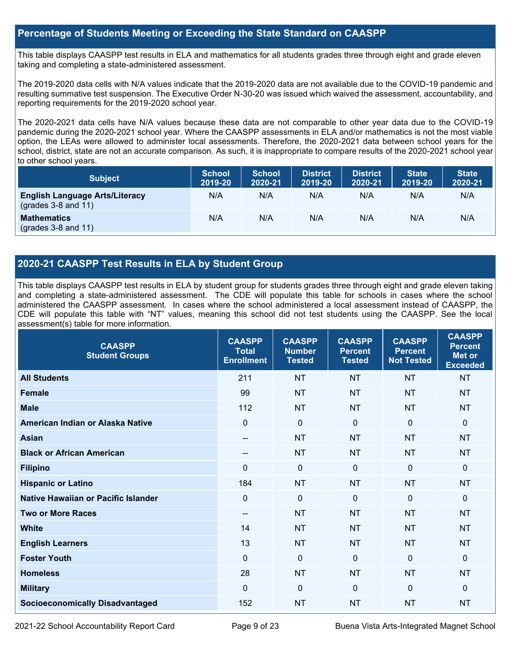#### **Percentage of Students Meeting or Exceeding the State Standard on CAASPP**

This table displays CAASPP test results in ELA and mathematics for all students grades three through eight and grade eleven taking and completing a state-administered assessment.

The 2019-2020 data cells with N/A values indicate that the 2019-2020 data are not available due to the COVID-19 pandemic and resulting summative test suspension. The Executive Order N-30-20 was issued which waived the assessment, accountability, and reporting requirements for the 2019-2020 school year.

The 2020-2021 data cells have N/A values because these data are not comparable to other year data due to the COVID-19 pandemic during the 2020-2021 school year. Where the CAASPP assessments in ELA and/or mathematics is not the most viable option, the LEAs were allowed to administer local assessments. Therefore, the 2020-2021 data between school years for the school, district, state are not an accurate comparison. As such, it is inappropriate to compare results of the 2020-2021 school year to other school years.

| <b>Subject</b>                                                       | <b>School</b><br>2019-20 | <b>School</b><br>2020-21 | <b>District</b><br>2019-20 | <b>District</b><br>2020-21 | <b>State</b><br>2019-20 | <b>State</b><br>2020-21 |
|----------------------------------------------------------------------|--------------------------|--------------------------|----------------------------|----------------------------|-------------------------|-------------------------|
| <b>English Language Arts/Literacy</b><br>$\left($ grades 3-8 and 11) | N/A                      | N/A                      | N/A                        | N/A                        | N/A                     | N/A                     |
| <b>Mathematics</b><br>$(grades 3-8 and 11)$                          | N/A                      | N/A                      | N/A                        | N/A                        | N/A                     | N/A                     |

#### **2020-21 CAASPP Test Results in ELA by Student Group**

This table displays CAASPP test results in ELA by student group for students grades three through eight and grade eleven taking and completing a state-administered assessment. The CDE will populate this table for schools in cases where the school administered the CAASPP assessment. In cases where the school administered a local assessment instead of CAASPP, the CDE will populate this table with "NT" values, meaning this school did not test students using the CAASPP. See the local assessment(s) table for more information.

| $\sqrt{ }$<br><b>CAASPP</b><br><b>Student Groups</b> | <b>CAASPP</b><br><b>Total</b><br><b>Enrollment</b> | <b>CAASPP</b><br><b>Number</b><br><b>Tested</b> | <b>CAASPP</b><br><b>Percent</b><br><b>Tested</b> | <b>CAASPP</b><br><b>Percent</b><br><b>Not Tested</b> | <b>CAASPP</b><br><b>Percent</b><br>Met or<br><b>Exceeded</b> |
|------------------------------------------------------|----------------------------------------------------|-------------------------------------------------|--------------------------------------------------|------------------------------------------------------|--------------------------------------------------------------|
| <b>All Students</b>                                  | 211                                                | <b>NT</b>                                       | <b>NT</b>                                        | <b>NT</b>                                            | <b>NT</b>                                                    |
| <b>Female</b>                                        | 99                                                 | <b>NT</b>                                       | <b>NT</b>                                        | <b>NT</b>                                            | <b>NT</b>                                                    |
| <b>Male</b>                                          | 112                                                | <b>NT</b>                                       | <b>NT</b>                                        | <b>NT</b>                                            | <b>NT</b>                                                    |
| American Indian or Alaska Native                     | $\overline{0}$                                     | $\mathbf 0$                                     | $\mathbf{0}$                                     | $\mathbf 0$                                          | 0                                                            |
| <b>Asian</b>                                         | $\qquad \qquad -$                                  | <b>NT</b>                                       | <b>NT</b>                                        | <b>NT</b>                                            | <b>NT</b>                                                    |
| <b>Black or African American</b>                     | $\qquad \qquad -$                                  | <b>NT</b>                                       | <b>NT</b>                                        | <b>NT</b>                                            | <b>NT</b>                                                    |
| <b>Filipino</b>                                      | $\Omega$                                           | $\mathbf 0$                                     | $\mathbf 0$                                      | $\overline{0}$                                       | 0                                                            |
| <b>Hispanic or Latino</b>                            | 184                                                | <b>NT</b>                                       | <b>NT</b>                                        | <b>NT</b>                                            | <b>NT</b>                                                    |
| Native Hawaiian or Pacific Islander                  | $\mathbf 0$                                        | $\mathbf 0$                                     | $\Omega$                                         | $\mathbf 0$                                          | 0                                                            |
| <b>Two or More Races</b>                             | $\qquad \qquad -$                                  | <b>NT</b>                                       | <b>NT</b>                                        | <b>NT</b>                                            | <b>NT</b>                                                    |
| <b>White</b>                                         | 14                                                 | <b>NT</b>                                       | <b>NT</b>                                        | <b>NT</b>                                            | <b>NT</b>                                                    |
| <b>English Learners</b>                              | 13                                                 | <b>NT</b>                                       | <b>NT</b>                                        | <b>NT</b>                                            | <b>NT</b>                                                    |
| <b>Foster Youth</b>                                  | $\mathbf 0$                                        | $\mathbf 0$                                     | $\mathbf 0$                                      | $\mathbf 0$                                          | 0                                                            |
| <b>Homeless</b>                                      | 28                                                 | <b>NT</b>                                       | <b>NT</b>                                        | <b>NT</b>                                            | <b>NT</b>                                                    |
| <b>Military</b>                                      | $\mathbf 0$                                        | $\mathbf 0$                                     | $\mathbf 0$                                      | $\mathbf 0$                                          | 0                                                            |
| <b>Socioeconomically Disadvantaged</b>               | 152                                                | <b>NT</b>                                       | <b>NT</b>                                        | <b>NT</b>                                            | <b>NT</b>                                                    |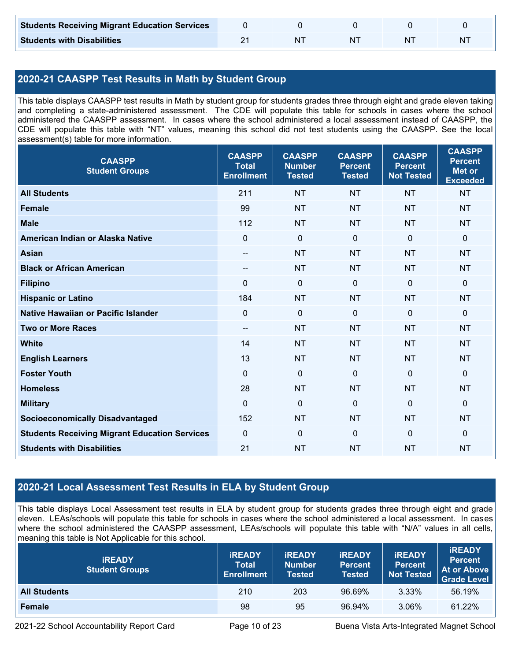| <b>Students Receiving Migrant Education Services</b> |    |  |   |
|------------------------------------------------------|----|--|---|
| <b>Students with Disabilities</b>                    | NΤ |  | N |

## **2020-21 CAASPP Test Results in Math by Student Group**

This table displays CAASPP test results in Math by student group for students grades three through eight and grade eleven taking and completing a state-administered assessment. The CDE will populate this table for schools in cases where the school administered the CAASPP assessment. In cases where the school administered a local assessment instead of CAASPP, the CDE will populate this table with "NT" values, meaning this school did not test students using the CAASPP. See the local assessment(s) table for more information.

| <b>CAASPP</b><br><b>Student Groups</b>               | <b>CAASPP</b><br><b>Total</b><br><b>Enrollment</b> | <b>CAASPP</b><br><b>Number</b><br><b>Tested</b> | <b>CAASPP</b><br><b>Percent</b><br><b>Tested</b> | <b>CAASPP</b><br><b>Percent</b><br><b>Not Tested</b> | <b>CAASPP</b><br><b>Percent</b><br><b>Met or</b><br><b>Exceeded</b> |
|------------------------------------------------------|----------------------------------------------------|-------------------------------------------------|--------------------------------------------------|------------------------------------------------------|---------------------------------------------------------------------|
| <b>All Students</b>                                  | 211                                                | <b>NT</b>                                       | <b>NT</b>                                        | <b>NT</b>                                            | <b>NT</b>                                                           |
| <b>Female</b>                                        | 99                                                 | <b>NT</b>                                       | <b>NT</b>                                        | <b>NT</b>                                            | <b>NT</b>                                                           |
| <b>Male</b>                                          | 112                                                | <b>NT</b>                                       | <b>NT</b>                                        | <b>NT</b>                                            | <b>NT</b>                                                           |
| American Indian or Alaska Native                     | $\mathbf 0$                                        | $\pmb{0}$                                       | $\mathbf 0$                                      | $\mathbf 0$                                          | $\mathbf 0$                                                         |
| <b>Asian</b>                                         | $-$                                                | <b>NT</b>                                       | <b>NT</b>                                        | <b>NT</b>                                            | <b>NT</b>                                                           |
| <b>Black or African American</b>                     | $\qquad \qquad -$                                  | <b>NT</b>                                       | <b>NT</b>                                        | <b>NT</b>                                            | <b>NT</b>                                                           |
| <b>Filipino</b>                                      | $\Omega$                                           | $\mathbf 0$                                     | $\mathbf{0}$                                     | $\mathbf 0$                                          | 0                                                                   |
| <b>Hispanic or Latino</b>                            | 184                                                | <b>NT</b>                                       | <b>NT</b>                                        | <b>NT</b>                                            | <b>NT</b>                                                           |
| Native Hawaiian or Pacific Islander                  | $\mathbf 0$                                        | $\mathbf 0$                                     | $\mathbf 0$                                      | $\overline{0}$                                       | 0                                                                   |
| <b>Two or More Races</b>                             | $\overline{\phantom{a}}$                           | <b>NT</b>                                       | <b>NT</b>                                        | <b>NT</b>                                            | <b>NT</b>                                                           |
| <b>White</b>                                         | 14                                                 | <b>NT</b>                                       | <b>NT</b>                                        | <b>NT</b>                                            | <b>NT</b>                                                           |
| <b>English Learners</b>                              | 13                                                 | <b>NT</b>                                       | <b>NT</b>                                        | <b>NT</b>                                            | <b>NT</b>                                                           |
| <b>Foster Youth</b>                                  | $\mathbf{0}$                                       | $\mathbf 0$                                     | $\mathbf{0}$                                     | $\mathbf 0$                                          | $\Omega$                                                            |
| <b>Homeless</b>                                      | 28                                                 | <b>NT</b>                                       | <b>NT</b>                                        | <b>NT</b>                                            | <b>NT</b>                                                           |
| <b>Military</b>                                      | $\mathbf{0}$                                       | $\mathbf 0$                                     | $\mathbf{0}$                                     | $\mathbf 0$                                          | 0                                                                   |
| <b>Socioeconomically Disadvantaged</b>               | 152                                                | <b>NT</b>                                       | <b>NT</b>                                        | <b>NT</b>                                            | <b>NT</b>                                                           |
| <b>Students Receiving Migrant Education Services</b> | $\mathbf 0$                                        | $\mathbf 0$                                     | $\mathbf 0$                                      | $\mathbf 0$                                          | $\mathbf 0$                                                         |
| <b>Students with Disabilities</b>                    | 21                                                 | <b>NT</b>                                       | <b>NT</b>                                        | <b>NT</b>                                            | <b>NT</b>                                                           |

### **2020-21 Local Assessment Test Results in ELA by Student Group**

This table displays Local Assessment test results in ELA by student group for students grades three through eight and grade eleven. LEAs/schools will populate this table for schools in cases where the school administered a local assessment. In cases where the school administered the CAASPP assessment, LEAs/schools will populate this table with "N/A" values in all cells, meaning this table is Not Applicable for this school.

| <b>IREADY</b><br><b>Student Groups</b> | <b>IREADY</b><br><b>Total</b><br><b>Enrollment</b> | <b>IREADY</b><br><b>Number</b><br><b>Tested</b> | <b><i>IREADY</i></b><br><b>Percent</b><br><b>Tested</b> | <b>IREADY</b><br><b>Percent</b><br><b>Not Tested</b> | <b>IREADY</b><br><b>Percent</b><br>At or Above<br><b>Grade Level</b> |
|----------------------------------------|----------------------------------------------------|-------------------------------------------------|---------------------------------------------------------|------------------------------------------------------|----------------------------------------------------------------------|
| <b>All Students</b>                    | 210                                                | 203                                             | 96.69%                                                  | 3.33%                                                | 56.19%                                                               |
| Female                                 | 98                                                 | 95                                              | 96.94%                                                  | 3.06%                                                | 61.22%                                                               |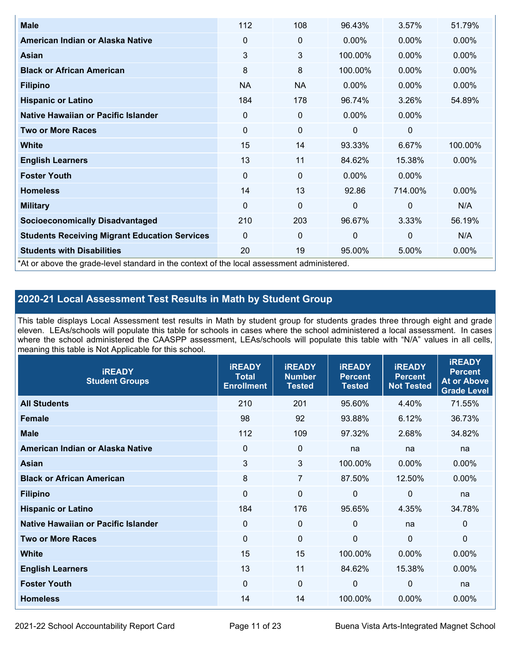| <b>Male</b>                                                                                | 112       | 108         | 96.43%   | 3.57%          | 51.79%   |
|--------------------------------------------------------------------------------------------|-----------|-------------|----------|----------------|----------|
| American Indian or Alaska Native                                                           | 0         | $\mathbf 0$ | $0.00\%$ | 0.00%          | $0.00\%$ |
| Asian                                                                                      | 3         | 3           | 100.00%  | 0.00%          | 0.00%    |
| <b>Black or African American</b>                                                           | 8         | 8           | 100.00%  | 0.00%          | $0.00\%$ |
| <b>Filipino</b>                                                                            | <b>NA</b> | <b>NA</b>   | $0.00\%$ | 0.00%          | 0.00%    |
| <b>Hispanic or Latino</b>                                                                  | 184       | 178         | 96.74%   | 3.26%          | 54.89%   |
| Native Hawaiian or Pacific Islander                                                        | 0         | $\mathbf 0$ | $0.00\%$ | $0.00\%$       |          |
| <b>Two or More Races</b>                                                                   | 0         | $\mathbf 0$ | 0        | $\mathbf 0$    |          |
| White                                                                                      | 15        | 14          | 93.33%   | 6.67%          | 100.00%  |
| <b>English Learners</b>                                                                    | 13        | 11          | 84.62%   | 15.38%         | $0.00\%$ |
| <b>Foster Youth</b>                                                                        | 0         | $\mathbf 0$ | $0.00\%$ | $0.00\%$       |          |
| <b>Homeless</b>                                                                            | 14        | 13          | 92.86    | 714.00%        | $0.00\%$ |
| <b>Military</b>                                                                            | 0         | $\mathbf 0$ | $\Omega$ | $\overline{0}$ | N/A      |
| <b>Socioeconomically Disadvantaged</b>                                                     | 210       | 203         | 96.67%   | 3.33%          | 56.19%   |
| <b>Students Receiving Migrant Education Services</b>                                       | $\Omega$  | $\mathbf 0$ | 0        | $\mathbf 0$    | N/A      |
| <b>Students with Disabilities</b>                                                          | 20        | 19          | 95.00%   | 5.00%          | 0.00%    |
| *At or above the grade-level standard in the context of the local assessment administered. |           |             |          |                |          |

### **2020-21 Local Assessment Test Results in Math by Student Group**

This table displays Local Assessment test results in Math by student group for students grades three through eight and grade eleven. LEAs/schools will populate this table for schools in cases where the school administered a local assessment. In cases where the school administered the CAASPP assessment, LEAs/schools will populate this table with "N/A" values in all cells, meaning this table is Not Applicable for this school.

| <b>iREADY</b><br><b>Student Groups</b> | <b>IREADY</b><br><b>Total</b><br><b>Enrollment</b> | <b>iREADY</b><br><b>Number</b><br><b>Tested</b> | <b>iREADY</b><br><b>Percent</b><br><b>Tested</b> | <b>IREADY</b><br><b>Percent</b><br><b>Not Tested</b> | <b>IREADY</b><br><b>Percent</b><br><b>At or Above</b><br><b>Grade Level</b> |
|----------------------------------------|----------------------------------------------------|-------------------------------------------------|--------------------------------------------------|------------------------------------------------------|-----------------------------------------------------------------------------|
| <b>All Students</b>                    | 210                                                | 201                                             | 95.60%                                           | 4.40%                                                | 71.55%                                                                      |
| <b>Female</b>                          | 98                                                 | 92                                              | 93.88%                                           | 6.12%                                                | 36.73%                                                                      |
| <b>Male</b>                            | 112                                                | 109                                             | 97.32%                                           | 2.68%                                                | 34.82%                                                                      |
| American Indian or Alaska Native       | 0                                                  | $\mathbf 0$                                     | na                                               | na                                                   | na                                                                          |
| Asian                                  | 3                                                  | 3                                               | 100.00%                                          | 0.00%                                                | 0.00%                                                                       |
| <b>Black or African American</b>       | 8                                                  | $\overline{7}$                                  | 87.50%                                           | 12.50%                                               | 0.00%                                                                       |
| <b>Filipino</b>                        | $\mathbf 0$                                        | $\mathbf 0$                                     | $\mathbf{0}$                                     | $\overline{0}$                                       | na                                                                          |
| <b>Hispanic or Latino</b>              | 184                                                | 176                                             | 95.65%                                           | 4.35%                                                | 34.78%                                                                      |
| Native Hawaiian or Pacific Islander    | $\mathbf 0$                                        | $\mathbf 0$                                     | $\mathbf{0}$                                     | na                                                   | $\mathbf 0$                                                                 |
| <b>Two or More Races</b>               | $\mathbf 0$                                        | $\mathbf 0$                                     | $\mathbf{0}$                                     | $\overline{0}$                                       | $\Omega$                                                                    |
| <b>White</b>                           | 15                                                 | 15                                              | 100.00%                                          | 0.00%                                                | 0.00%                                                                       |
| <b>English Learners</b>                | 13                                                 | 11                                              | 84.62%                                           | 15.38%                                               | $0.00\%$                                                                    |
| <b>Foster Youth</b>                    | 0                                                  | $\mathbf 0$                                     | 0                                                | 0                                                    | na                                                                          |
| <b>Homeless</b>                        | 14                                                 | 14                                              | 100.00%                                          | 0.00%                                                | 0.00%                                                                       |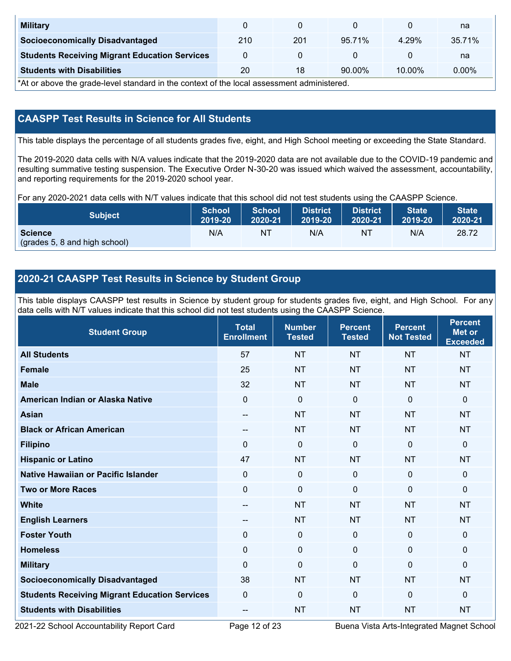| <b>Military</b>                                      |     |     |           |           | na       |
|------------------------------------------------------|-----|-----|-----------|-----------|----------|
| <b>Socioeconomically Disadvantaged</b>               | 210 | 201 | 95.71%    | 4.29%     | 35.71%   |
| <b>Students Receiving Migrant Education Services</b> |     |     |           |           | na       |
| <b>Students with Disabilities</b>                    | 20  | 18  | $90.00\%$ | $10.00\%$ | $0.00\%$ |

\*At or above the grade-level standard in the context of the local assessment administered.

### **CAASPP Test Results in Science for All Students**

This table displays the percentage of all students grades five, eight, and High School meeting or exceeding the State Standard.

The 2019-2020 data cells with N/A values indicate that the 2019-2020 data are not available due to the COVID-19 pandemic and resulting summative testing suspension. The Executive Order N-30-20 was issued which waived the assessment, accountability, and reporting requirements for the 2019-2020 school year.

For any 2020-2021 data cells with N/T values indicate that this school did not test students using the CAASPP Science.

| <b>Subject</b>                                  | <b>School</b> | <b>School</b> | <b>District</b> | <b>District</b> | <b>State</b> | <b>State</b> |
|-------------------------------------------------|---------------|---------------|-----------------|-----------------|--------------|--------------|
|                                                 | 2019-20       | 2020-21       | 2019-20         | 2020-21         | 2019-20      | 2020-21      |
| <b>Science</b><br>(grades 5, 8 and high school) | N/A           | ΝT            | N/A             | N1              | N/A          | 28.72        |

#### **2020-21 CAASPP Test Results in Science by Student Group**

This table displays CAASPP test results in Science by student group for students grades five, eight, and High School. For any data cells with N/T values indicate that this school did not test students using the CAASPP Science.

| <b>Student Group</b>                                 | <b>Total</b><br><b>Enrollment</b> | <b>Number</b><br><b>Tested</b> | <b>Percent</b><br><b>Tested</b> | <b>Percent</b><br><b>Not Tested</b> | <b>Percent</b><br><b>Met or</b><br><b>Exceeded</b> |
|------------------------------------------------------|-----------------------------------|--------------------------------|---------------------------------|-------------------------------------|----------------------------------------------------|
| <b>All Students</b>                                  | 57                                | <b>NT</b>                      | <b>NT</b>                       | <b>NT</b>                           | <b>NT</b>                                          |
| <b>Female</b>                                        | 25                                | <b>NT</b>                      | <b>NT</b>                       | <b>NT</b>                           | <b>NT</b>                                          |
| <b>Male</b>                                          | 32                                | <b>NT</b>                      | <b>NT</b>                       | <b>NT</b>                           | <b>NT</b>                                          |
| American Indian or Alaska Native                     | $\mathbf 0$                       | $\mathbf 0$                    | $\mathbf 0$                     | $\overline{0}$                      | 0                                                  |
| <b>Asian</b>                                         | --                                | <b>NT</b>                      | <b>NT</b>                       | <b>NT</b>                           | <b>NT</b>                                          |
| <b>Black or African American</b>                     | --                                | <b>NT</b>                      | <b>NT</b>                       | <b>NT</b>                           | <b>NT</b>                                          |
| <b>Filipino</b>                                      | $\Omega$                          | $\mathbf 0$                    | $\mathbf 0$                     | $\Omega$                            | 0                                                  |
| <b>Hispanic or Latino</b>                            | 47                                | <b>NT</b>                      | <b>NT</b>                       | <b>NT</b>                           | <b>NT</b>                                          |
| <b>Native Hawaiian or Pacific Islander</b>           | 0                                 | $\mathbf 0$                    | $\mathbf{0}$                    | $\Omega$                            | 0                                                  |
| <b>Two or More Races</b>                             | $\mathbf 0$                       | $\mathbf 0$                    | $\mathbf 0$                     | $\mathbf 0$                         | $\Omega$                                           |
| <b>White</b>                                         | $\overline{a}$                    | <b>NT</b>                      | <b>NT</b>                       | <b>NT</b>                           | <b>NT</b>                                          |
| <b>English Learners</b>                              | --                                | <b>NT</b>                      | <b>NT</b>                       | <b>NT</b>                           | <b>NT</b>                                          |
| <b>Foster Youth</b>                                  | $\mathbf 0$                       | $\mathbf 0$                    | $\mathbf{0}$                    | $\mathbf{0}$                        | 0                                                  |
| <b>Homeless</b>                                      | $\mathbf 0$                       | $\mathbf 0$                    | $\mathbf{0}$                    | $\Omega$                            | 0                                                  |
| <b>Military</b>                                      | $\Omega$                          | $\mathbf 0$                    | $\Omega$                        | $\mathbf{0}$                        | $\mathbf{0}$                                       |
| <b>Socioeconomically Disadvantaged</b>               | 38                                | <b>NT</b>                      | <b>NT</b>                       | <b>NT</b>                           | <b>NT</b>                                          |
| <b>Students Receiving Migrant Education Services</b> | $\Omega$                          | 0                              | $\mathbf 0$                     | $\mathbf{0}$                        | $\Omega$                                           |
| <b>Students with Disabilities</b>                    | $- -$                             | <b>NT</b>                      | <b>NT</b>                       | <b>NT</b>                           | <b>NT</b>                                          |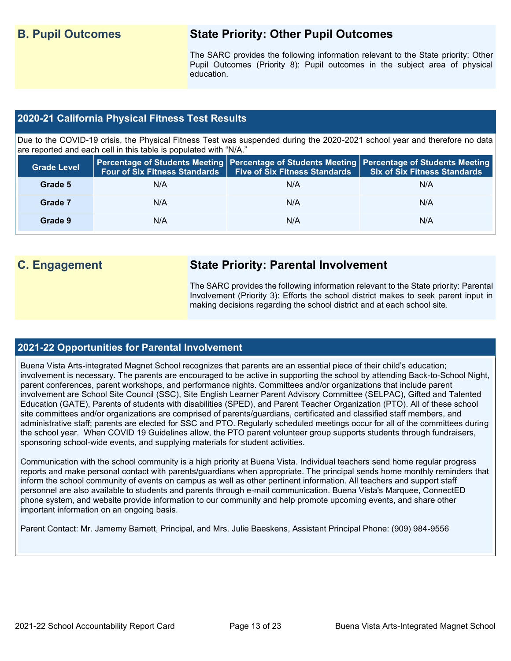## **B. Pupil Outcomes State Priority: Other Pupil Outcomes**

The SARC provides the following information relevant to the State priority: Other Pupil Outcomes (Priority 8): Pupil outcomes in the subject area of physical education.

#### **2020-21 California Physical Fitness Test Results**

Due to the COVID-19 crisis, the Physical Fitness Test was suspended during the 2020-2021 school year and therefore no data are reported and each cell in this table is populated with "N/A."

| <b>Grade Level</b> |     | Four of Six Fitness Standards   Five of Six Fitness Standards | Percentage of Students Meeting   Percentage of Students Meeting   Percentage of Students Meeting  <br><b>Six of Six Fitness Standards</b> |
|--------------------|-----|---------------------------------------------------------------|-------------------------------------------------------------------------------------------------------------------------------------------|
| Grade 5            | N/A | N/A                                                           | N/A                                                                                                                                       |
| Grade 7            | N/A | N/A                                                           | N/A                                                                                                                                       |
| Grade 9            | N/A | N/A                                                           | N/A                                                                                                                                       |

## **C. Engagement State Priority: Parental Involvement**

The SARC provides the following information relevant to the State priority: Parental Involvement (Priority 3): Efforts the school district makes to seek parent input in making decisions regarding the school district and at each school site.

#### **2021-22 Opportunities for Parental Involvement**

Buena Vista Arts-integrated Magnet School recognizes that parents are an essential piece of their child's education; involvement is necessary. The parents are encouraged to be active in supporting the school by attending Back-to-School Night, parent conferences, parent workshops, and performance nights. Committees and/or organizations that include parent involvement are School Site Council (SSC), Site English Learner Parent Advisory Committee (SELPAC), Gifted and Talented Education (GATE), Parents of students with disabilities (SPED), and Parent Teacher Organization (PTO). All of these school site committees and/or organizations are comprised of parents/guardians, certificated and classified staff members, and administrative staff; parents are elected for SSC and PTO. Regularly scheduled meetings occur for all of the committees during the school year. When COVID 19 Guidelines allow, the PTO parent volunteer group supports students through fundraisers, sponsoring school-wide events, and supplying materials for student activities.

Communication with the school community is a high priority at Buena Vista. Individual teachers send home regular progress reports and make personal contact with parents/guardians when appropriate. The principal sends home monthly reminders that inform the school community of events on campus as well as other pertinent information. All teachers and support staff personnel are also available to students and parents through e-mail communication. Buena Vista's Marquee, ConnectED phone system, and website provide information to our community and help promote upcoming events, and share other important information on an ongoing basis.

Parent Contact: Mr. Jamemy Barnett, Principal, and Mrs. Julie Baeskens, Assistant Principal Phone: (909) 984-9556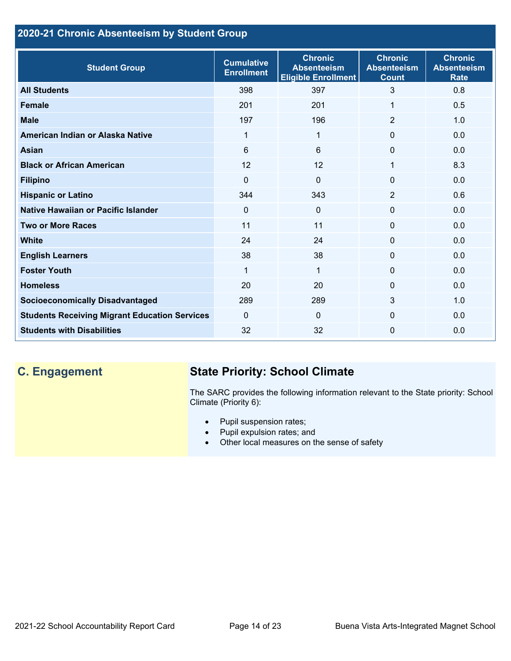## **2020-21 Chronic Absenteeism by Student Group**

| <b>Student Group</b>                                 | <b>Cumulative</b><br><b>Enrollment</b> | <b>Chronic</b><br><b>Absenteeism</b><br><b>Eligible Enrollment</b> | <b>Chronic</b><br><b>Absenteeism</b><br><b>Count</b> | <b>Chronic</b><br><b>Absenteeism</b><br><b>Rate</b> |
|------------------------------------------------------|----------------------------------------|--------------------------------------------------------------------|------------------------------------------------------|-----------------------------------------------------|
| <b>All Students</b>                                  | 398                                    | 397                                                                | 3                                                    | 0.8                                                 |
| <b>Female</b>                                        | 201                                    | 201                                                                | 1                                                    | 0.5                                                 |
| <b>Male</b>                                          | 197                                    | 196                                                                | 2                                                    | 1.0                                                 |
| American Indian or Alaska Native                     | 1                                      | 1                                                                  | $\mathbf{0}$                                         | 0.0                                                 |
| <b>Asian</b>                                         | 6                                      | 6                                                                  | $\mathbf{0}$                                         | 0.0                                                 |
| <b>Black or African American</b>                     | 12                                     | 12                                                                 | 1                                                    | 8.3                                                 |
| <b>Filipino</b>                                      | $\mathbf{0}$                           | $\mathbf 0$                                                        | $\mathbf{0}$                                         | 0.0                                                 |
| <b>Hispanic or Latino</b>                            | 344                                    | 343                                                                | $\overline{2}$                                       | 0.6                                                 |
| <b>Native Hawaiian or Pacific Islander</b>           | $\mathbf 0$                            | $\mathbf 0$                                                        | $\mathbf 0$                                          | 0.0                                                 |
| <b>Two or More Races</b>                             | 11                                     | 11                                                                 | $\mathbf{0}$                                         | 0.0                                                 |
| <b>White</b>                                         | 24                                     | 24                                                                 | $\Omega$                                             | 0.0                                                 |
| <b>English Learners</b>                              | 38                                     | 38                                                                 | $\Omega$                                             | 0.0                                                 |
| <b>Foster Youth</b>                                  | 1                                      | 1                                                                  | $\Omega$                                             | 0.0                                                 |
| <b>Homeless</b>                                      | 20                                     | 20                                                                 | $\Omega$                                             | 0.0                                                 |
| <b>Socioeconomically Disadvantaged</b>               | 289                                    | 289                                                                | 3                                                    | 1.0                                                 |
| <b>Students Receiving Migrant Education Services</b> | $\Omega$                               | $\Omega$                                                           | $\Omega$                                             | 0.0                                                 |
| <b>Students with Disabilities</b>                    | 32                                     | 32                                                                 | $\Omega$                                             | 0.0                                                 |

## **C. Engagement State Priority: School Climate**

The SARC provides the following information relevant to the State priority: School Climate (Priority 6):

- Pupil suspension rates;
- Pupil expulsion rates; and
- Other local measures on the sense of safety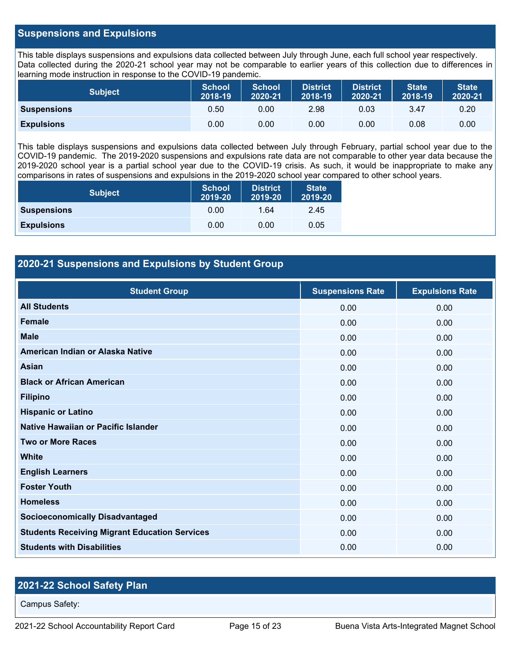#### **Suspensions and Expulsions**

This table displays suspensions and expulsions data collected between July through June, each full school year respectively. Data collected during the 2020-21 school year may not be comparable to earlier years of this collection due to differences in learning mode instruction in response to the COVID-19 pandemic.

| <b>Subject</b>     | <b>School</b><br>2018-19 | <b>School</b><br>2020-21 | <b>District</b><br>2018-19 | <b>District</b><br>2020-21 | <b>State</b><br>2018-19 | <b>State</b><br>2020-21 |
|--------------------|--------------------------|--------------------------|----------------------------|----------------------------|-------------------------|-------------------------|
| <b>Suspensions</b> | 0.50                     | 0.00                     | 2.98                       | 0.03                       | 3.47                    | 0.20                    |
| <b>Expulsions</b>  | 0.00                     | 0.00                     | 0.00                       | 0.00                       | 0.08                    | 0.00                    |

This table displays suspensions and expulsions data collected between July through February, partial school year due to the COVID-19 pandemic. The 2019-2020 suspensions and expulsions rate data are not comparable to other year data because the 2019-2020 school year is a partial school year due to the COVID-19 crisis. As such, it would be inappropriate to make any comparisons in rates of suspensions and expulsions in the 2019-2020 school year compared to other school years.

| <b>Subject</b>     | <b>School</b><br>2019-20 | <b>District</b><br>2019-20 | <b>State</b><br>2019-20 |
|--------------------|--------------------------|----------------------------|-------------------------|
| <b>Suspensions</b> | 0.00                     | 1.64                       | 2.45                    |
| <b>Expulsions</b>  | 0.00                     | 0.00                       | 0.05                    |

#### **2020-21 Suspensions and Expulsions by Student Group**

| <b>Student Group</b>                                 | <b>Suspensions Rate</b> | <b>Expulsions Rate</b> |
|------------------------------------------------------|-------------------------|------------------------|
| <b>All Students</b>                                  | 0.00                    | 0.00                   |
| <b>Female</b>                                        | 0.00                    | 0.00                   |
| <b>Male</b>                                          | 0.00                    | 0.00                   |
| American Indian or Alaska Native                     | 0.00                    | 0.00                   |
| <b>Asian</b>                                         | 0.00                    | 0.00                   |
| <b>Black or African American</b>                     | 0.00                    | 0.00                   |
| <b>Filipino</b>                                      | 0.00                    | 0.00                   |
| <b>Hispanic or Latino</b>                            | 0.00                    | 0.00                   |
| Native Hawaiian or Pacific Islander                  | 0.00                    | 0.00                   |
| <b>Two or More Races</b>                             | 0.00                    | 0.00                   |
| White                                                | 0.00                    | 0.00                   |
| <b>English Learners</b>                              | 0.00                    | 0.00                   |
| <b>Foster Youth</b>                                  | 0.00                    | 0.00                   |
| <b>Homeless</b>                                      | 0.00                    | 0.00                   |
| <b>Socioeconomically Disadvantaged</b>               | 0.00                    | 0.00                   |
| <b>Students Receiving Migrant Education Services</b> | 0.00                    | 0.00                   |
| <b>Students with Disabilities</b>                    | 0.00                    | 0.00                   |

#### **2021-22 School Safety Plan**

Campus Safety: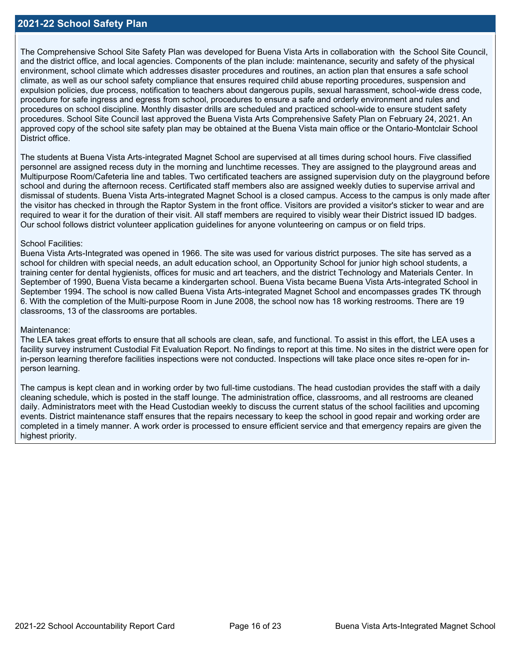The Comprehensive School Site Safety Plan was developed for Buena Vista Arts in collaboration with the School Site Council, and the district office, and local agencies. Components of the plan include: maintenance, security and safety of the physical environment, school climate which addresses disaster procedures and routines, an action plan that ensures a safe school climate, as well as our school safety compliance that ensures required child abuse reporting procedures, suspension and expulsion policies, due process, notification to teachers about dangerous pupils, sexual harassment, school-wide dress code, procedure for safe ingress and egress from school, procedures to ensure a safe and orderly environment and rules and procedures on school discipline. Monthly disaster drills are scheduled and practiced school-wide to ensure student safety procedures. School Site Council last approved the Buena Vista Arts Comprehensive Safety Plan on February 24, 2021. An approved copy of the school site safety plan may be obtained at the Buena Vista main office or the Ontario-Montclair School District office

The students at Buena Vista Arts-integrated Magnet School are supervised at all times during school hours. Five classified personnel are assigned recess duty in the morning and lunchtime recesses. They are assigned to the playground areas and Multipurpose Room/Cafeteria line and tables. Two certificated teachers are assigned supervision duty on the playground before school and during the afternoon recess. Certificated staff members also are assigned weekly duties to supervise arrival and dismissal of students. Buena Vista Arts-integrated Magnet School is a closed campus. Access to the campus is only made after the visitor has checked in through the Raptor System in the front office. Visitors are provided a visitor's sticker to wear and are required to wear it for the duration of their visit. All staff members are required to visibly wear their District issued ID badges. Our school follows district volunteer application guidelines for anyone volunteering on campus or on field trips.

#### School Facilities:

Buena Vista Arts-Integrated was opened in 1966. The site was used for various district purposes. The site has served as a school for children with special needs, an adult education school, an Opportunity School for junior high school students, a training center for dental hygienists, offices for music and art teachers, and the district Technology and Materials Center. In September of 1990, Buena Vista became a kindergarten school. Buena Vista became Buena Vista Arts-integrated School in September 1994. The school is now called Buena Vista Arts-integrated Magnet School and encompasses grades TK through 6. With the completion of the Multi-purpose Room in June 2008, the school now has 18 working restrooms. There are 19 classrooms, 13 of the classrooms are portables.

#### Maintenance:

The LEA takes great efforts to ensure that all schools are clean, safe, and functional. To assist in this effort, the LEA uses a facility survey instrument Custodial Fit Evaluation Report. No findings to report at this time. No sites in the district were open for in-person learning therefore facilities inspections were not conducted. Inspections will take place once sites re-open for inperson learning.

The campus is kept clean and in working order by two full-time custodians. The head custodian provides the staff with a daily cleaning schedule, which is posted in the staff lounge. The administration office, classrooms, and all restrooms are cleaned daily. Administrators meet with the Head Custodian weekly to discuss the current status of the school facilities and upcoming events. District maintenance staff ensures that the repairs necessary to keep the school in good repair and working order are completed in a timely manner. A work order is processed to ensure efficient service and that emergency repairs are given the highest priority.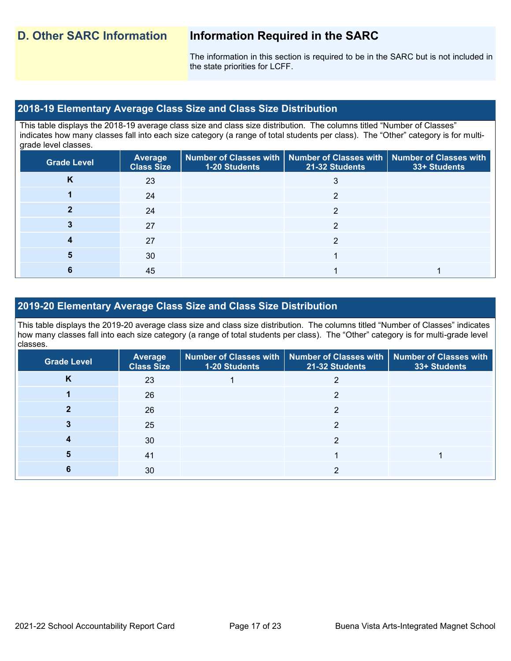The information in this section is required to be in the SARC but is not included in the state priorities for LCFF.

### **2018-19 Elementary Average Class Size and Class Size Distribution**

This table displays the 2018-19 average class size and class size distribution. The columns titled "Number of Classes" indicates how many classes fall into each size category (a range of total students per class). The "Other" category is for multigrade level classes.

| <b>Grade Level</b> | <b>Average</b><br><b>Class Size</b> | <b>1-20 Students</b> | $\mid$ Number of Classes with $\mid$ Number of Classes with $\mid$ Number of Classes with<br>21-32 Students | 33+ Students |
|--------------------|-------------------------------------|----------------------|-------------------------------------------------------------------------------------------------------------|--------------|
| Κ                  | 23                                  |                      |                                                                                                             |              |
|                    | 24                                  |                      | ◠                                                                                                           |              |
|                    | 24                                  |                      | າ                                                                                                           |              |
|                    | 27                                  |                      |                                                                                                             |              |
|                    | 27                                  |                      | ົ                                                                                                           |              |
|                    | 30                                  |                      |                                                                                                             |              |
|                    | 45                                  |                      |                                                                                                             |              |

#### **2019-20 Elementary Average Class Size and Class Size Distribution**

This table displays the 2019-20 average class size and class size distribution. The columns titled "Number of Classes" indicates how many classes fall into each size category (a range of total students per class). The "Other" category is for multi-grade level classes.

| <b>Grade Level</b> | <b>Average</b><br><b>Class Size</b> | <b>1-20 Students</b> | Number of Classes with   Number of Classes with<br>21-32 Students | Number of Classes with<br>33+ Students |
|--------------------|-------------------------------------|----------------------|-------------------------------------------------------------------|----------------------------------------|
| K                  | 23                                  |                      |                                                                   |                                        |
|                    | 26                                  |                      | າ                                                                 |                                        |
|                    | 26                                  |                      | ◠                                                                 |                                        |
|                    | 25                                  |                      | ◠                                                                 |                                        |
|                    | 30                                  |                      | っ                                                                 |                                        |
| 5                  | 41                                  |                      |                                                                   |                                        |
|                    | 30                                  |                      |                                                                   |                                        |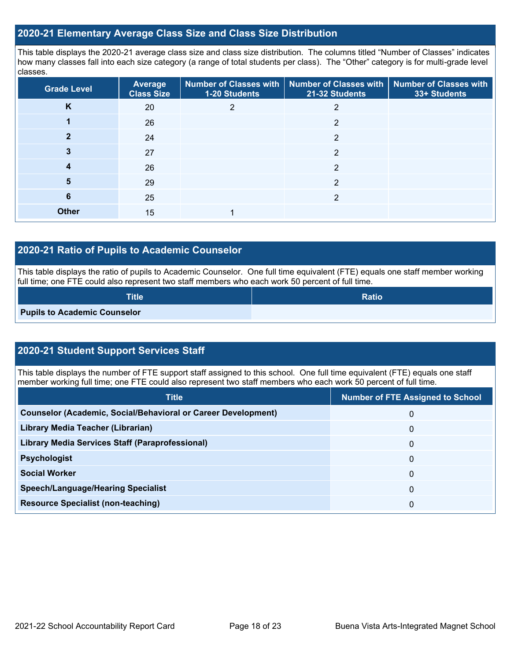#### **2020-21 Elementary Average Class Size and Class Size Distribution**

This table displays the 2020-21 average class size and class size distribution. The columns titled "Number of Classes" indicates how many classes fall into each size category (a range of total students per class). The "Other" category is for multi-grade level classes.

| <b>Grade Level</b> | Average<br><b>Class Size</b> | 1-20 Students | Number of Classes with   Number of Classes with<br>21-32 Students | <b>Number of Classes with</b><br>33+ Students |
|--------------------|------------------------------|---------------|-------------------------------------------------------------------|-----------------------------------------------|
| K                  | 20                           | 2             | 2                                                                 |                                               |
|                    | 26                           |               | 2                                                                 |                                               |
|                    | 24                           |               | $\overline{2}$                                                    |                                               |
| 3                  | 27                           |               | 2                                                                 |                                               |
| 4                  | 26                           |               | 2                                                                 |                                               |
| 5                  | 29                           |               | 2                                                                 |                                               |
| 6                  | 25                           |               | 2                                                                 |                                               |
| <b>Other</b>       | 15                           |               |                                                                   |                                               |

#### **2020-21 Ratio of Pupils to Academic Counselor**

This table displays the ratio of pupils to Academic Counselor. One full time equivalent (FTE) equals one staff member working full time; one FTE could also represent two staff members who each work 50 percent of full time.

| <b>Title</b>                        | <b>Ratio</b> |
|-------------------------------------|--------------|
| <b>Pupils to Academic Counselor</b> |              |

### **2020-21 Student Support Services Staff**

This table displays the number of FTE support staff assigned to this school. One full time equivalent (FTE) equals one staff member working full time; one FTE could also represent two staff members who each work 50 percent of full time.

| <b>Title</b>                                                         | <b>Number of FTE Assigned to School</b> |
|----------------------------------------------------------------------|-----------------------------------------|
| <b>Counselor (Academic, Social/Behavioral or Career Development)</b> | 0                                       |
| Library Media Teacher (Librarian)                                    | 0                                       |
| <b>Library Media Services Staff (Paraprofessional)</b>               | 0                                       |
| <b>Psychologist</b>                                                  | 0                                       |
| <b>Social Worker</b>                                                 | 0                                       |
| <b>Speech/Language/Hearing Specialist</b>                            | 0                                       |
| <b>Resource Specialist (non-teaching)</b>                            | 0                                       |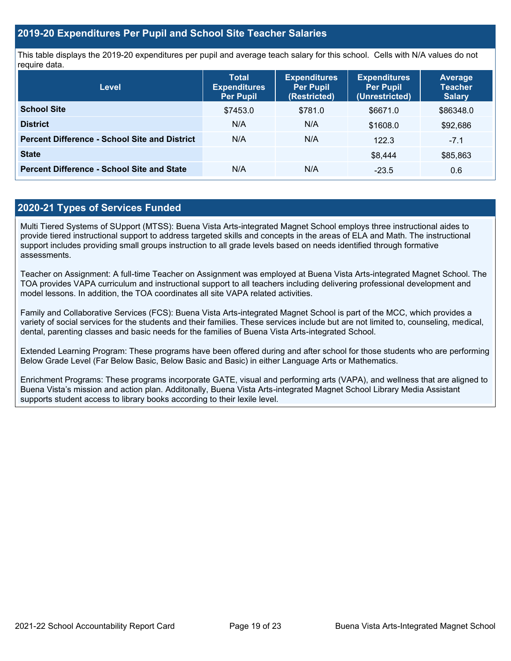#### **2019-20 Expenditures Per Pupil and School Site Teacher Salaries**

This table displays the 2019-20 expenditures per pupil and average teach salary for this school. Cells with N/A values do not require data.

| Level                                                | <b>Total</b><br><b>Expenditures</b><br><b>Per Pupil</b> | <b>Expenditures</b><br><b>Per Pupil</b><br>(Restricted) | <b>Expenditures</b><br><b>Per Pupil</b><br>(Unrestricted) | <b>Average</b><br><b>Teacher</b><br><b>Salary</b> |
|------------------------------------------------------|---------------------------------------------------------|---------------------------------------------------------|-----------------------------------------------------------|---------------------------------------------------|
| <b>School Site</b>                                   | \$7453.0                                                | \$781.0                                                 | \$6671.0                                                  | \$86348.0                                         |
| <b>District</b>                                      | N/A                                                     | N/A                                                     | \$1608.0                                                  | \$92,686                                          |
| <b>Percent Difference - School Site and District</b> | N/A                                                     | N/A                                                     | 122.3                                                     | $-7.1$                                            |
| <b>State</b>                                         |                                                         |                                                         | \$8,444                                                   | \$85,863                                          |
| <b>Percent Difference - School Site and State</b>    | N/A                                                     | N/A                                                     | $-23.5$                                                   | 0.6                                               |

#### **2020-21 Types of Services Funded**

Multi Tiered Systems of SUpport (MTSS): Buena Vista Arts-integrated Magnet School employs three instructional aides to provide tiered instructional support to address targeted skills and concepts in the areas of ELA and Math. The instructional support includes providing small groups instruction to all grade levels based on needs identified through formative assessments.

Teacher on Assignment: A full-time Teacher on Assignment was employed at Buena Vista Arts-integrated Magnet School. The TOA provides VAPA curriculum and instructional support to all teachers including delivering professional development and model lessons. In addition, the TOA coordinates all site VAPA related activities.

Family and Collaborative Services (FCS): Buena Vista Arts-integrated Magnet School is part of the MCC, which provides a variety of social services for the students and their families. These services include but are not limited to, counseling, medical, dental, parenting classes and basic needs for the families of Buena Vista Arts-integrated School.

Extended Learning Program: These programs have been offered during and after school for those students who are performing Below Grade Level (Far Below Basic, Below Basic and Basic) in either Language Arts or Mathematics.

Enrichment Programs: These programs incorporate GATE, visual and performing arts (VAPA), and wellness that are aligned to Buena Vista's mission and action plan. Additonally, Buena Vista Arts-integrated Magnet School Library Media Assistant supports student access to library books according to their lexile level.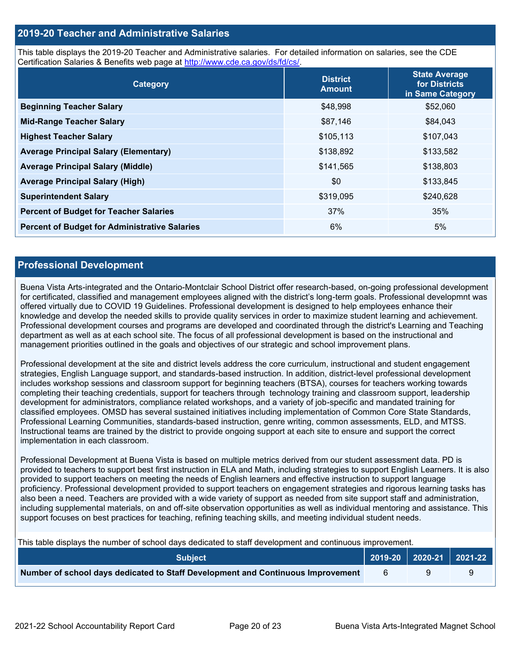#### **2019-20 Teacher and Administrative Salaries**

This table displays the 2019-20 Teacher and Administrative salaries. For detailed information on salaries, see the CDE Certification Salaries & Benefits web page at [http://www.cde.ca.gov/ds/fd/cs/.](http://www.cde.ca.gov/ds/fd/cs/)

| Category                                             | <b>District</b><br><b>Amount</b> | <b>State Average</b><br>for Districts<br>in Same Category |
|------------------------------------------------------|----------------------------------|-----------------------------------------------------------|
| <b>Beginning Teacher Salary</b>                      | \$48,998                         | \$52,060                                                  |
| <b>Mid-Range Teacher Salary</b>                      | \$87,146                         | \$84,043                                                  |
| <b>Highest Teacher Salary</b>                        | \$105,113                        | \$107,043                                                 |
| <b>Average Principal Salary (Elementary)</b>         | \$138,892                        | \$133,582                                                 |
| <b>Average Principal Salary (Middle)</b>             | \$141,565                        | \$138,803                                                 |
| <b>Average Principal Salary (High)</b>               | \$0                              | \$133,845                                                 |
| <b>Superintendent Salary</b>                         | \$319,095                        | \$240,628                                                 |
| <b>Percent of Budget for Teacher Salaries</b>        | 37%                              | 35%                                                       |
| <b>Percent of Budget for Administrative Salaries</b> | 6%                               | 5%                                                        |

#### **Professional Development**

Buena Vista Arts-integrated and the Ontario-Montclair School District offer research-based, on-going professional development for certificated, classified and management employees aligned with the district's long-term goals. Professional developmnt was offered virtually due to COVID 19 Guidelines. Professional development is designed to help employees enhance their knowledge and develop the needed skills to provide quality services in order to maximize student learning and achievement. Professional development courses and programs are developed and coordinated through the district's Learning and Teaching department as well as at each school site. The focus of all professional development is based on the instructional and management priorities outlined in the goals and objectives of our strategic and school improvement plans.

Professional development at the site and district levels address the core curriculum, instructional and student engagement strategies, English Language support, and standards-based instruction. In addition, district-level professional development includes workshop sessions and classroom support for beginning teachers (BTSA), courses for teachers working towards completing their teaching credentials, support for teachers through technology training and classroom support, leadership development for administrators, compliance related workshops, and a variety of job-specific and mandated training for classified employees. OMSD has several sustained initiatives including implementation of Common Core State Standards, Professional Learning Communities, standards-based instruction, genre writing, common assessments, ELD, and MTSS. Instructional teams are trained by the district to provide ongoing support at each site to ensure and support the correct implementation in each classroom.

Professional Development at Buena Vista is based on multiple metrics derived from our student assessment data. PD is provided to teachers to support best first instruction in ELA and Math, including strategies to support English Learners. It is also provided to support teachers on meeting the needs of English learners and effective instruction to support language proficiency. Professional development provided to support teachers on engagement strategies and rigorous learning tasks has also been a need. Teachers are provided with a wide variety of support as needed from site support staff and administration, including supplemental materials, on and off-site observation opportunities as well as individual mentoring and assistance. This support focuses on best practices for teaching, refining teaching skills, and meeting individual student needs.

| This table displays the number of school days dedicated to staff development and continuous improvement. |    |  |  |  |  |  |
|----------------------------------------------------------------------------------------------------------|----|--|--|--|--|--|
| │ 2019-20 │ 2020-21 │ 2021-22 │<br><b>Subject</b>                                                        |    |  |  |  |  |  |
| Number of school days dedicated to Staff Development and Continuous Improvement                          | -6 |  |  |  |  |  |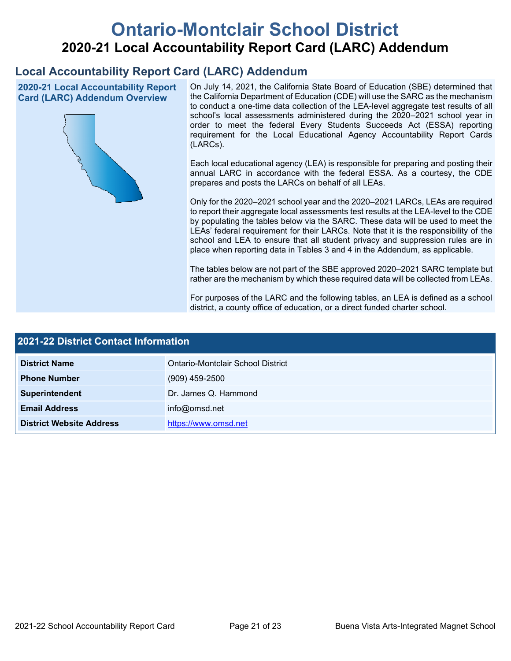# **Ontario-Montclair School District 2020-21 Local Accountability Report Card (LARC) Addendum**

## **Local Accountability Report Card (LARC) Addendum**

**2020-21 Local Accountability Report Card (LARC) Addendum Overview**



On July 14, 2021, the California State Board of Education (SBE) determined that the California Department of Education (CDE) will use the SARC as the mechanism to conduct a one-time data collection of the LEA-level aggregate test results of all school's local assessments administered during the 2020–2021 school year in order to meet the federal Every Students Succeeds Act (ESSA) reporting requirement for the Local Educational Agency Accountability Report Cards (LARCs).

Each local educational agency (LEA) is responsible for preparing and posting their annual LARC in accordance with the federal ESSA. As a courtesy, the CDE prepares and posts the LARCs on behalf of all LEAs.

Only for the 2020–2021 school year and the 2020–2021 LARCs, LEAs are required to report their aggregate local assessments test results at the LEA-level to the CDE by populating the tables below via the SARC. These data will be used to meet the LEAs' federal requirement for their LARCs. Note that it is the responsibility of the school and LEA to ensure that all student privacy and suppression rules are in place when reporting data in Tables 3 and 4 in the Addendum, as applicable.

The tables below are not part of the SBE approved 2020–2021 SARC template but rather are the mechanism by which these required data will be collected from LEAs.

For purposes of the LARC and the following tables, an LEA is defined as a school district, a county office of education, or a direct funded charter school.

| 2021-22 District Contact Information |                                   |  |  |  |
|--------------------------------------|-----------------------------------|--|--|--|
| <b>District Name</b>                 | Ontario-Montclair School District |  |  |  |
| <b>Phone Number</b>                  | $(909)$ 459-2500                  |  |  |  |
| Superintendent                       | Dr. James Q. Hammond              |  |  |  |
| <b>Email Address</b>                 | info@omsd.net                     |  |  |  |
| <b>District Website Address</b>      | https://www.omsd.net              |  |  |  |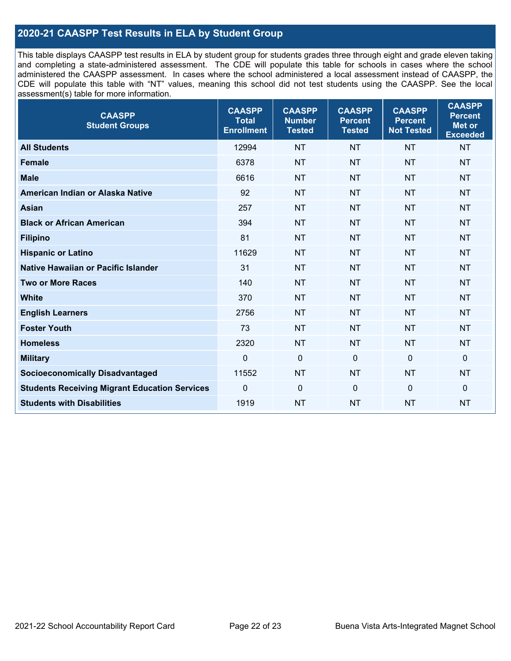#### **2020-21 CAASPP Test Results in ELA by Student Group**

This table displays CAASPP test results in ELA by student group for students grades three through eight and grade eleven taking and completing a state-administered assessment. The CDE will populate this table for schools in cases where the school administered the CAASPP assessment. In cases where the school administered a local assessment instead of CAASPP, the CDE will populate this table with "NT" values, meaning this school did not test students using the CAASPP. See the local assessment(s) table for more information.

| <b>CAASPP</b><br><b>Student Groups</b>               | <b>CAASPP</b><br><b>Total</b><br><b>Enrollment</b> | <b>CAASPP</b><br><b>Number</b><br><b>Tested</b> | <b>CAASPP</b><br><b>Percent</b><br><b>Tested</b> | <b>CAASPP</b><br><b>Percent</b><br><b>Not Tested</b> | <b>CAASPP</b><br><b>Percent</b><br>Met or<br><b>Exceeded</b> |
|------------------------------------------------------|----------------------------------------------------|-------------------------------------------------|--------------------------------------------------|------------------------------------------------------|--------------------------------------------------------------|
| <b>All Students</b>                                  | 12994                                              | <b>NT</b>                                       | <b>NT</b>                                        | <b>NT</b>                                            | <b>NT</b>                                                    |
| <b>Female</b>                                        | 6378                                               | <b>NT</b>                                       | <b>NT</b>                                        | <b>NT</b>                                            | <b>NT</b>                                                    |
| <b>Male</b>                                          | 6616                                               | <b>NT</b>                                       | <b>NT</b>                                        | <b>NT</b>                                            | <b>NT</b>                                                    |
| American Indian or Alaska Native                     | 92                                                 | <b>NT</b>                                       | <b>NT</b>                                        | <b>NT</b>                                            | <b>NT</b>                                                    |
| <b>Asian</b>                                         | 257                                                | <b>NT</b>                                       | <b>NT</b>                                        | <b>NT</b>                                            | <b>NT</b>                                                    |
| <b>Black or African American</b>                     | 394                                                | <b>NT</b>                                       | <b>NT</b>                                        | <b>NT</b>                                            | <b>NT</b>                                                    |
| <b>Filipino</b>                                      | 81                                                 | <b>NT</b>                                       | <b>NT</b>                                        | <b>NT</b>                                            | <b>NT</b>                                                    |
| <b>Hispanic or Latino</b>                            | 11629                                              | <b>NT</b>                                       | <b>NT</b>                                        | <b>NT</b>                                            | NT                                                           |
| Native Hawaiian or Pacific Islander                  | 31                                                 | <b>NT</b>                                       | <b>NT</b>                                        | <b>NT</b>                                            | <b>NT</b>                                                    |
| <b>Two or More Races</b>                             | 140                                                | <b>NT</b>                                       | <b>NT</b>                                        | <b>NT</b>                                            | <b>NT</b>                                                    |
| <b>White</b>                                         | 370                                                | <b>NT</b>                                       | <b>NT</b>                                        | <b>NT</b>                                            | <b>NT</b>                                                    |
| <b>English Learners</b>                              | 2756                                               | <b>NT</b>                                       | <b>NT</b>                                        | <b>NT</b>                                            | <b>NT</b>                                                    |
| <b>Foster Youth</b>                                  | 73                                                 | <b>NT</b>                                       | <b>NT</b>                                        | <b>NT</b>                                            | <b>NT</b>                                                    |
| <b>Homeless</b>                                      | 2320                                               | <b>NT</b>                                       | <b>NT</b>                                        | <b>NT</b>                                            | <b>NT</b>                                                    |
| <b>Military</b>                                      | $\mathbf 0$                                        | $\mathbf 0$                                     | $\mathbf 0$                                      | $\mathbf 0$                                          | 0                                                            |
| <b>Socioeconomically Disadvantaged</b>               | 11552                                              | <b>NT</b>                                       | <b>NT</b>                                        | <b>NT</b>                                            | <b>NT</b>                                                    |
| <b>Students Receiving Migrant Education Services</b> | 0                                                  | $\mathbf 0$                                     | $\mathbf 0$                                      | $\mathbf 0$                                          | 0                                                            |
| <b>Students with Disabilities</b>                    | 1919                                               | <b>NT</b>                                       | <b>NT</b>                                        | <b>NT</b>                                            | <b>NT</b>                                                    |